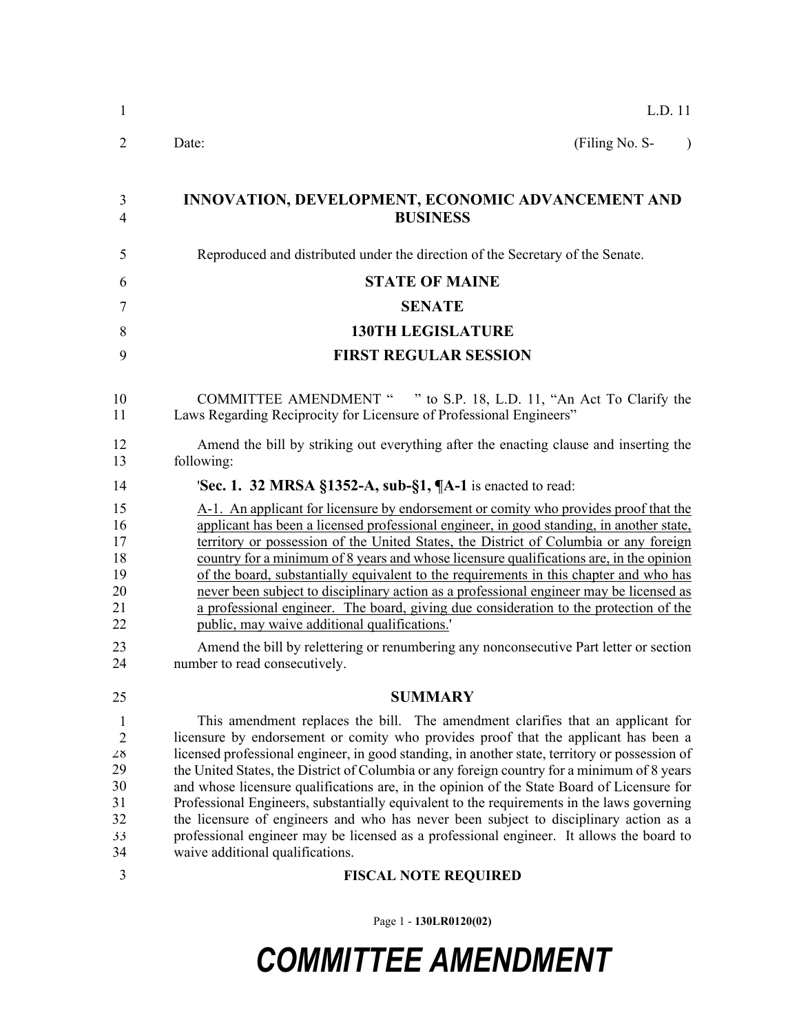| $\mathbf{1}$                                                             | L.D. 11                                                                                                                                                                                                                                                                                                                                                                                                                                                                                                                                                                                                                                                                                                                                                                                      |
|--------------------------------------------------------------------------|----------------------------------------------------------------------------------------------------------------------------------------------------------------------------------------------------------------------------------------------------------------------------------------------------------------------------------------------------------------------------------------------------------------------------------------------------------------------------------------------------------------------------------------------------------------------------------------------------------------------------------------------------------------------------------------------------------------------------------------------------------------------------------------------|
| 2                                                                        | (Filing No. S-<br>Date:<br>$\lambda$                                                                                                                                                                                                                                                                                                                                                                                                                                                                                                                                                                                                                                                                                                                                                         |
| 3<br>4                                                                   | INNOVATION, DEVELOPMENT, ECONOMIC ADVANCEMENT AND<br><b>BUSINESS</b>                                                                                                                                                                                                                                                                                                                                                                                                                                                                                                                                                                                                                                                                                                                         |
| 5                                                                        | Reproduced and distributed under the direction of the Secretary of the Senate.                                                                                                                                                                                                                                                                                                                                                                                                                                                                                                                                                                                                                                                                                                               |
| 6                                                                        | <b>STATE OF MAINE</b>                                                                                                                                                                                                                                                                                                                                                                                                                                                                                                                                                                                                                                                                                                                                                                        |
| 7                                                                        | <b>SENATE</b>                                                                                                                                                                                                                                                                                                                                                                                                                                                                                                                                                                                                                                                                                                                                                                                |
| 8                                                                        | <b>130TH LEGISLATURE</b>                                                                                                                                                                                                                                                                                                                                                                                                                                                                                                                                                                                                                                                                                                                                                                     |
| 9                                                                        | <b>FIRST REGULAR SESSION</b>                                                                                                                                                                                                                                                                                                                                                                                                                                                                                                                                                                                                                                                                                                                                                                 |
| 10<br>11                                                                 | COMMITTEE AMENDMENT " " to S.P. 18, L.D. 11, "An Act To Clarify the<br>Laws Regarding Reciprocity for Licensure of Professional Engineers"                                                                                                                                                                                                                                                                                                                                                                                                                                                                                                                                                                                                                                                   |
| 12<br>13                                                                 | Amend the bill by striking out everything after the enacting clause and inserting the<br>following:                                                                                                                                                                                                                                                                                                                                                                                                                                                                                                                                                                                                                                                                                          |
| 14                                                                       | 'Sec. 1. 32 MRSA §1352-A, sub-§1, $\P$ A-1 is enacted to read:                                                                                                                                                                                                                                                                                                                                                                                                                                                                                                                                                                                                                                                                                                                               |
| 15<br>16<br>17<br>18<br>19<br>20<br>21<br>22                             | A-1. An applicant for licensure by endorsement or comity who provides proof that the<br>applicant has been a licensed professional engineer, in good standing, in another state,<br>territory or possession of the United States, the District of Columbia or any foreign<br>country for a minimum of 8 years and whose licensure qualifications are, in the opinion<br>of the board, substantially equivalent to the requirements in this chapter and who has<br>never been subject to disciplinary action as a professional engineer may be licensed as<br>a professional engineer. The board, giving due consideration to the protection of the<br>public, may waive additional qualifications.                                                                                           |
| 23<br>24                                                                 | Amend the bill by relettering or renumbering any nonconsecutive Part letter or section<br>number to read consecutively.                                                                                                                                                                                                                                                                                                                                                                                                                                                                                                                                                                                                                                                                      |
| 25                                                                       | <b>SUMMARY</b>                                                                                                                                                                                                                                                                                                                                                                                                                                                                                                                                                                                                                                                                                                                                                                               |
| $\mathbf{1}$<br>$\overline{2}$<br>28<br>29<br>30<br>31<br>32<br>33<br>34 | This amendment replaces the bill. The amendment clarifies that an applicant for<br>licensure by endorsement or comity who provides proof that the applicant has been a<br>licensed professional engineer, in good standing, in another state, territory or possession of<br>the United States, the District of Columbia or any foreign country for a minimum of 8 years<br>and whose licensure qualifications are, in the opinion of the State Board of Licensure for<br>Professional Engineers, substantially equivalent to the requirements in the laws governing<br>the licensure of engineers and who has never been subject to disciplinary action as a<br>professional engineer may be licensed as a professional engineer. It allows the board to<br>waive additional qualifications. |
| 3                                                                        | <b>FISCAL NOTE REQUIRED</b>                                                                                                                                                                                                                                                                                                                                                                                                                                                                                                                                                                                                                                                                                                                                                                  |

Page 1 - **130LR0120(02)**

## *COMMITTEE AMENDMENT*